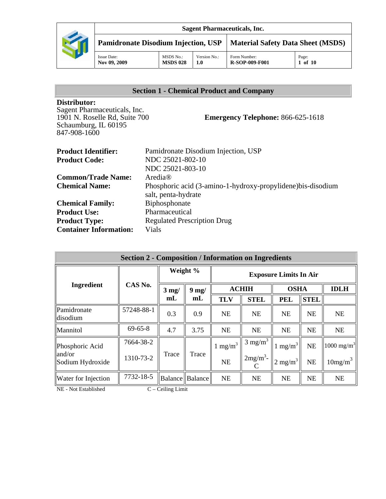

| Issue Date:<br>2009<br>Nov 09. | <b>MSDS No.:</b><br><b>MSDS 028</b> | $\mathbf{v}$<br>Version No.:<br>$1.0\,$ | Form Number:<br><b>R-SOP-009-F001</b> | Page:<br>of<br>10 |
|--------------------------------|-------------------------------------|-----------------------------------------|---------------------------------------|-------------------|
|                                |                                     |                                         |                                       |                   |

# **Section 1 - Chemical Product and Company**

#### **Distributor:**

Sagent Pharmaceuticals, Inc. 1901 N. Roselle Rd, Suite 700 Schaumburg, IL 60195 847-908-1600

# **Emergency Telephone:** 866-625-1618

| <b>Product Identifier:</b>    | Pamidronate Disodium Injection, USP                          |
|-------------------------------|--------------------------------------------------------------|
| <b>Product Code:</b>          | NDC 25021-802-10                                             |
|                               | NDC 25021-803-10                                             |
| <b>Common/Trade Name:</b>     | Aredia $\mathbb{R}$                                          |
| <b>Chemical Name:</b>         | Phosphoric acid (3-amino-1-hydroxy-propylidene) bis-disodium |
|                               | salt, penta-hydrate                                          |
| <b>Chemical Family:</b>       | Biphosphonate                                                |
| <b>Product Use:</b>           | Pharmaceutical                                               |
| <b>Product Type:</b>          | <b>Regulated Prescription Drug</b>                           |
| <b>Container Information:</b> | Vials                                                        |

| <b>Section 2 - Composition / Information on Ingredients</b>            |               |                                  |                   |                               |                    |                       |             |                       |
|------------------------------------------------------------------------|---------------|----------------------------------|-------------------|-------------------------------|--------------------|-----------------------|-------------|-----------------------|
|                                                                        |               | Weight %                         |                   | <b>Exposure Limits In Air</b> |                    |                       |             |                       |
| <b>Ingredient</b>                                                      | CAS No.       | $3 \text{ mg}$<br>m <sub>L</sub> | $9$ mg/           | <b>ACHIH</b>                  |                    | <b>OSHA</b>           |             | <b>IDLH</b>           |
|                                                                        |               |                                  | m <sub>L</sub>    | <b>TLV</b>                    | <b>STEL</b>        | <b>PEL</b>            | <b>STEL</b> |                       |
| Pamidronate<br>disodium                                                | 57248-88-1    | 0.3                              | 0.9               | <b>NE</b>                     | <b>NE</b>          | <b>NE</b>             | <b>NE</b>   | <b>NE</b>             |
| Mannitol                                                               | $69 - 65 - 8$ | 4.7                              | 3.75              | <b>NE</b>                     | <b>NE</b>          | <b>NE</b>             | NE          | <b>NE</b>             |
| Phosphoric Acid                                                        | 7664-38-2     |                                  | Trace             | $1 \text{ mg/m}^3$            | $3 \text{ mg/m}^3$ | $1 \text{ mg/m}^3$    | <b>NE</b>   | $1000 \text{ mg/m}^3$ |
| and/or<br>Sodium Hydroxide                                             | 1310-73-2     | Trace                            |                   | <b>NE</b>                     | $2mg/m^3$ -        | $2$ mg/m <sup>3</sup> | NE          | 10mg/m <sup>3</sup>   |
| Water for Injection                                                    | 7732-18-5     |                                  | Balance   Balance | <b>NE</b>                     | <b>NE</b>          | <b>NE</b>             | NE          | <b>NE</b>             |
| $\overline{\text{ME}}$ $\overline{\text{Mot}}$ $\overline{\text{Dot}}$ |               | $C = C_2$ ling Limit             |                   |                               |                    |                       |             |                       |

 $NE - Not Established$   $C - Ceiling Limit$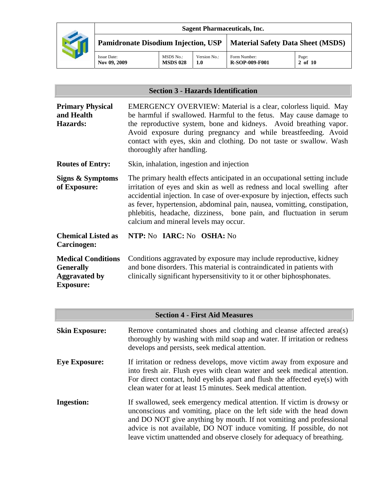

# **Section 3 - Hazards Identification**

| <b>Primary Physical</b><br>and Health<br><b>Hazards:</b>                                  | <b>EMERGENCY OVERVIEW:</b> Material is a clear, colorless liquid. May<br>be harmful if swallowed. Harmful to the fetus. May cause damage to<br>the reproductive system, bone and kidneys. Avoid breathing vapor.<br>Avoid exposure during pregnancy and while breastfeeding. Avoid<br>contact with eyes, skin and clothing. Do not taste or swallow. Wash<br>thoroughly after handling.                                        |  |  |
|-------------------------------------------------------------------------------------------|--------------------------------------------------------------------------------------------------------------------------------------------------------------------------------------------------------------------------------------------------------------------------------------------------------------------------------------------------------------------------------------------------------------------------------|--|--|
| <b>Routes of Entry:</b>                                                                   | Skin, inhalation, ingestion and injection                                                                                                                                                                                                                                                                                                                                                                                      |  |  |
| Signs & Symptoms<br>of Exposure:                                                          | The primary health effects anticipated in an occupational setting include<br>irritation of eyes and skin as well as redness and local swelling after<br>accidential injection. In case of over-exposure by injection, effects such<br>as fever, hypertension, abdominal pain, nausea, vomitting, constipation,<br>phlebitis, headache, dizziness, bone pain, and fluctuation in serum<br>calcium and mineral levels may occur. |  |  |
| <b>Chemical Listed as</b><br>Carcinogen:                                                  | NTP: No IARC: No OSHA: No                                                                                                                                                                                                                                                                                                                                                                                                      |  |  |
| <b>Medical Conditions</b><br><b>Generally</b><br><b>Aggravated by</b><br><b>Exposure:</b> | Conditions aggravated by exposure may include reproductive, kidney<br>and bone disorders. This material is contraindicated in patients with<br>clinically significant hypersensitivity to it or other biphosphonates.                                                                                                                                                                                                          |  |  |

| <b>Section 4 - First Aid Measures</b> |                                                                                                                                                                                                                                                                                                                                                                        |  |  |
|---------------------------------------|------------------------------------------------------------------------------------------------------------------------------------------------------------------------------------------------------------------------------------------------------------------------------------------------------------------------------------------------------------------------|--|--|
| <b>Skin Exposure:</b>                 | Remove contaminated shoes and clothing and cleanse affected area(s)<br>thoroughly by washing with mild soap and water. If irritation or redness<br>develops and persists, seek medical attention.                                                                                                                                                                      |  |  |
| <b>Eye Exposure:</b>                  | If irritation or redness develops, move victim away from exposure and<br>into fresh air. Flush eyes with clean water and seek medical attention.<br>For direct contact, hold eyelids apart and flush the affected $eye(s)$ with<br>clean water for at least 15 minutes. Seek medical attention.                                                                        |  |  |
| <b>Ingestion:</b>                     | If swallowed, seek emergency medical attention. If victim is drowsy or<br>unconscious and vomiting, place on the left side with the head down<br>and DO NOT give anything by mouth. If not vomiting and professional<br>advice is not available, DO NOT induce vomiting. If possible, do not<br>leave victim unattended and observe closely for adequacy of breathing. |  |  |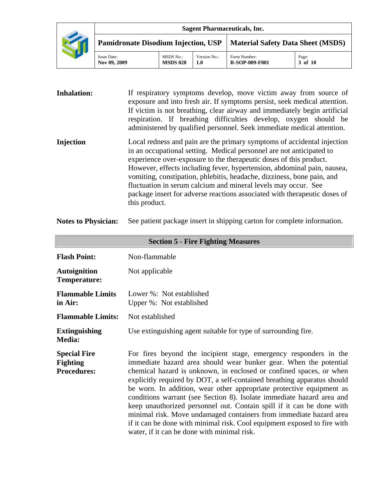|                                                                                |                                     |                     | <b>Sagent Pharmaceuticals, Inc.</b>   |                  |
|--------------------------------------------------------------------------------|-------------------------------------|---------------------|---------------------------------------|------------------|
| <b>Pamidronate Disodium Injection, USP   Material Safety Data Sheet (MSDS)</b> |                                     |                     |                                       |                  |
| <b>Issue Date:</b><br>Nov 09, 2009                                             | <b>MSDS No.:</b><br><b>MSDS 028</b> | Version No.:<br>1.0 | Form Number:<br><b>R-SOP-009-F001</b> | Page:<br>3 of 10 |

**Inhalation:** If respiratory symptoms develop, move victim away from source of exposure and into fresh air. If symptoms persist, seek medical attention. If victim is not breathing, clear airway and immediately begin artificial respiration. If breathing difficulties develop, oxygen should be administered by qualified personnel. Seek immediate medical attention. **Injection** Local redness and pain are the primary symptoms of accidental injection in an occupational setting. Medical personnel are not anticipated to experience over-exposure to the therapeutic doses of this product. However, effects including fever, hypertension, abdominal pain, nausea, vomiting, constipation, phlebitis, headache, dizziness, bone pain, and fluctuation in serum calcium and mineral levels may occur. See package insert for adverse reactions associated with therapeutic doses of this product.

**Notes to Physician:** See patient package insert in shipping carton for complete information.

| <b>Section 5 - Fire Fighting Measures</b>                    |                                                                                                                                                                                                                                                                                                                                                                                                                                                                                                                                                                                                                                                                                                                     |  |  |  |
|--------------------------------------------------------------|---------------------------------------------------------------------------------------------------------------------------------------------------------------------------------------------------------------------------------------------------------------------------------------------------------------------------------------------------------------------------------------------------------------------------------------------------------------------------------------------------------------------------------------------------------------------------------------------------------------------------------------------------------------------------------------------------------------------|--|--|--|
| <b>Flash Point:</b>                                          | Non-flammable                                                                                                                                                                                                                                                                                                                                                                                                                                                                                                                                                                                                                                                                                                       |  |  |  |
| <b>Autoignition</b><br>Temperature:                          | Not applicable                                                                                                                                                                                                                                                                                                                                                                                                                                                                                                                                                                                                                                                                                                      |  |  |  |
| <b>Flammable Limits</b><br>in Air:                           | Lower %: Not established<br>Upper %: Not established                                                                                                                                                                                                                                                                                                                                                                                                                                                                                                                                                                                                                                                                |  |  |  |
| <b>Flammable Limits:</b>                                     | Not established                                                                                                                                                                                                                                                                                                                                                                                                                                                                                                                                                                                                                                                                                                     |  |  |  |
| <b>Extinguishing</b><br><b>Media:</b>                        | Use extinguishing agent suitable for type of surrounding fire.                                                                                                                                                                                                                                                                                                                                                                                                                                                                                                                                                                                                                                                      |  |  |  |
| <b>Special Fire</b><br><b>Fighting</b><br><b>Procedures:</b> | For fires beyond the incipient stage, emergency responders in the<br>immediate hazard area should wear bunker gear. When the potential<br>chemical hazard is unknown, in enclosed or confined spaces, or when<br>explicitly required by DOT, a self-contained breathing apparatus should<br>be worn. In addition, wear other appropriate protective equipment as<br>conditions warrant (see Section 8). Isolate immediate hazard area and<br>keep unauthorized personnel out. Contain spill if it can be done with<br>minimal risk. Move undamaged containers from immediate hazard area<br>if it can be done with minimal risk. Cool equipment exposed to fire with<br>water, if it can be done with minimal risk. |  |  |  |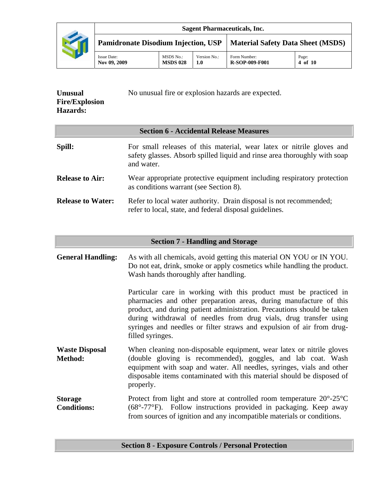

| <b>Unusual</b>        | No unusual fire or explosion hazards are expected. |
|-----------------------|----------------------------------------------------|
| <b>Fire/Explosion</b> |                                                    |
| <b>Hazards:</b>       |                                                    |

| <b>Section 6 - Accidental Release Measures</b> |                                                                                                                                                                  |  |  |
|------------------------------------------------|------------------------------------------------------------------------------------------------------------------------------------------------------------------|--|--|
| Spill:                                         | For small releases of this material, wear latex or nitrile gloves and<br>safety glasses. Absorb spilled liquid and rinse area thoroughly with soap<br>and water. |  |  |
| <b>Release to Air:</b>                         | Wear appropriate protective equipment including respiratory protection<br>as conditions warrant (see Section 8).                                                 |  |  |
| <b>Release to Water:</b>                       | Refer to local water authority. Drain disposal is not recommended;<br>refer to local, state, and federal disposal guidelines.                                    |  |  |

| <b>Section 7 - Handling and Storage</b> |                                                                                                                                                                                                                                                                                                                                                                                      |  |  |
|-----------------------------------------|--------------------------------------------------------------------------------------------------------------------------------------------------------------------------------------------------------------------------------------------------------------------------------------------------------------------------------------------------------------------------------------|--|--|
| <b>General Handling:</b>                | As with all chemicals, avoid getting this material ON YOU or IN YOU.<br>Do not eat, drink, smoke or apply cosmetics while handling the product.<br>Wash hands thoroughly after handling.                                                                                                                                                                                             |  |  |
|                                         | Particular care in working with this product must be practiced in<br>pharmacies and other preparation areas, during manufacture of this<br>product, and during patient administration. Precautions should be taken<br>during withdrawal of needles from drug vials, drug transfer using<br>syringes and needles or filter straws and expulsion of air from drug-<br>filled syringes. |  |  |
| <b>Waste Disposal</b><br>Method:        | When cleaning non-disposable equipment, wear latex or nitrile gloves<br>(double gloving is recommended), goggles, and lab coat. Wash<br>equipment with soap and water. All needles, syringes, vials and other<br>disposable items contaminated with this material should be disposed of<br>properly.                                                                                 |  |  |
| <b>Storage</b><br><b>Conditions:</b>    | Protect from light and store at controlled room temperature $20^{\circ}$ -25 $^{\circ}$ C<br>$(68^{\circ} - 77^{\circ}F)$ . Follow instructions provided in packaging. Keep away<br>from sources of ignition and any incompatible materials or conditions.                                                                                                                           |  |  |

# **Section 8 - Exposure Controls / Personal Protection**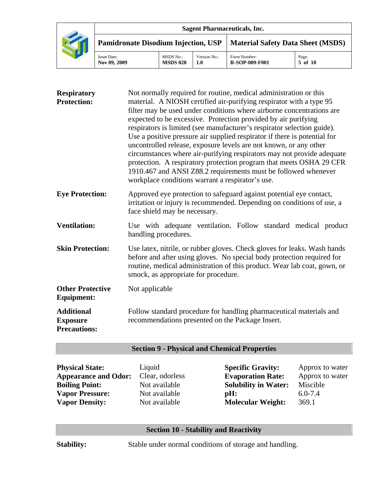|                                            |                                     |                     | <b>Sagent Pharmaceuticals, Inc.</b>   |                  |
|--------------------------------------------|-------------------------------------|---------------------|---------------------------------------|------------------|
| <b>Pamidronate Disodium Injection, USP</b> |                                     |                     | Material Safety Data Sheet (MSDS)     |                  |
| <b>Issue Date:</b><br>Nov 09, 2009         | <b>MSDS No.:</b><br><b>MSDS 028</b> | Version No.:<br>1.0 | Form Number:<br><b>R-SOP-009-F001</b> | Page:<br>5 of 10 |

| <b>Respiratory</b><br><b>Protection:</b>                    | Not normally required for routine, medical administration or this<br>material. A NIOSH certified air-purifying respirator with a type 95<br>filter may be used under conditions where airborne concentrations are<br>expected to be excessive. Protection provided by air purifying<br>respirators is limited (see manufacturer's respirator selection guide).<br>Use a positive pressure air supplied respirator if there is potential for<br>uncontrolled release, exposure levels are not known, or any other<br>circumstances where air-purifying respirators may not provide adequate<br>protection. A respiratory protection program that meets OSHA 29 CFR<br>1910.467 and ANSI Z88.2 requirements must be followed whenever<br>workplace conditions warrant a respirator's use. |
|-------------------------------------------------------------|-----------------------------------------------------------------------------------------------------------------------------------------------------------------------------------------------------------------------------------------------------------------------------------------------------------------------------------------------------------------------------------------------------------------------------------------------------------------------------------------------------------------------------------------------------------------------------------------------------------------------------------------------------------------------------------------------------------------------------------------------------------------------------------------|
| <b>Eye Protection:</b>                                      | Approved eye protection to safeguard against potential eye contact,<br>irritation or injury is recommended. Depending on conditions of use, a<br>face shield may be necessary.                                                                                                                                                                                                                                                                                                                                                                                                                                                                                                                                                                                                          |
| <b>Ventilation:</b>                                         | Use with adequate ventilation. Follow standard medical product<br>handling procedures.                                                                                                                                                                                                                                                                                                                                                                                                                                                                                                                                                                                                                                                                                                  |
| <b>Skin Protection:</b>                                     | Use latex, nitrile, or rubber gloves. Check gloves for leaks. Wash hands<br>before and after using gloves. No special body protection required for<br>routine, medical administration of this product. Wear lab coat, gown, or<br>smock, as appropriate for procedure.                                                                                                                                                                                                                                                                                                                                                                                                                                                                                                                  |
| <b>Other Protective</b><br><b>Equipment:</b>                | Not applicable                                                                                                                                                                                                                                                                                                                                                                                                                                                                                                                                                                                                                                                                                                                                                                          |
| <b>Additional</b><br><b>Exposure</b><br><b>Precautions:</b> | Follow standard procedure for handling pharmaceutical materials and<br>recommendations presented on the Package Insert.                                                                                                                                                                                                                                                                                                                                                                                                                                                                                                                                                                                                                                                                 |

# **Section 9 - Physical and Chemical Properties**

| <b>Physical State:</b>      |
|-----------------------------|
| <b>Appearance and Odor:</b> |
| <b>Boiling Point:</b>       |
| <b>Vapor Pressure:</b>      |
| <b>Vapor Density:</b>       |

Liquid<br>Clear, odorless

**Specific Gravity:** Approx to water<br>**Evaporation Rate:** Approx to water **Evaporation Rate:** Not available **Solubility in Water:** Miscible Not available **pH:** 6.0-7.4 Not available **Molecular Weight:** 369.1

### **Section 10 - Stability and Reactivity**

**Stability:** Stable under normal conditions of storage and handling.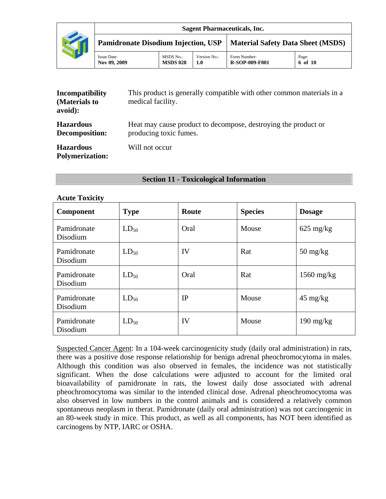| Incompatibility<br>(Materials to<br>avoid): | This product is generally compatible with other common materials in a<br>medical facility. |  |  |
|---------------------------------------------|--------------------------------------------------------------------------------------------|--|--|
| <b>Hazardous</b><br>Decomposition:          | Heat may cause product to decompose, destroying the product or<br>producing toxic fumes.   |  |  |
| <b>Hazardous</b><br><b>Polymerization:</b>  | Will not occur                                                                             |  |  |

#### **Section 11 - Toxicological Information**

#### **Acute Toxicity**

| Component               | <b>Type</b> | Route | <b>Species</b> | <b>Dosage</b>                    |
|-------------------------|-------------|-------|----------------|----------------------------------|
| Pamidronate<br>Disodium | $LD_{50}$   | Oral  | Mouse          | $625 \text{ mg/kg}$              |
| Pamidronate<br>Disodium | $LD_{50}$   | IV    | Rat            | $50 \frac{\text{mg}}{\text{kg}}$ |
| Pamidronate<br>Disodium | $LD_{50}$   | Oral  | Rat            | $1560$ mg/kg                     |
| Pamidronate<br>Disodium | $LD_{50}$   | IP    | Mouse          | $45 \text{ mg/kg}$               |
| Pamidronate<br>Disodium | $LD_{50}$   | IV    | Mouse          | $190 \text{ mg/kg}$              |

Suspected Cancer Agent: In a 104-week carcinogenicity study (daily oral administration) in rats, there was a positive dose response relationship for benign adrenal pheochromocytoma in males. Although this condition was also observed in females, the incidence was not statistically significant. When the dose calculations were adjusted to account for the limited oral bioavailability of pamidronate in rats, the lowest daily dose associated with adrenal pheochromocytoma was similar to the intended clinical dose. Adrenal pheochromocytoma was also observed in low numbers in the control animals and is considered a relatively common spontaneous neoplasm in therat. Pamidronate (daily oral administration) was not carcinogenic in an 80-week study in mice. This product, as well as all components, has NOT been identified as carcinogens by NTP, IARC or OSHA.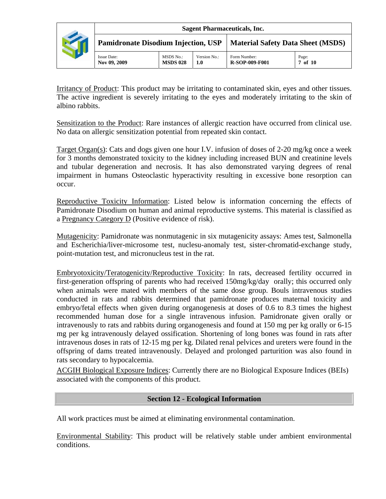| <b>Sagent Pharmaceuticals, Inc.</b>        |                              |                     |                                          |                  |  |
|--------------------------------------------|------------------------------|---------------------|------------------------------------------|------------------|--|
| <b>Pamidronate Disodium Injection, USP</b> |                              |                     | <b>Material Safety Data Sheet (MSDS)</b> |                  |  |
| <b>Issue Date:</b><br>Nov 09, 2009         | MSDS No.:<br><b>MSDS 028</b> | Version No.:<br>1.0 | Form Number:<br><b>R-SOP-009-F001</b>    | Page:<br>7 of 10 |  |

Irritancy of Product: This product may be irritating to contaminated skin, eyes and other tissues. The active ingredient is severely irritating to the eyes and moderately irritating to the skin of albino rabbits.

Sensitization to the Product: Rare instances of allergic reaction have occurred from clinical use. No data on allergic sensitization potential from repeated skin contact.

Target Organ(s): Cats and dogs given one hour I.V. infusion of doses of 2-20 mg/kg once a week for 3 months demonstrated toxicity to the kidney including increased BUN and creatinine levels and tubular degeneration and necrosis. It has also demonstrated varying degrees of renal impairment in humans Osteoclastic hyperactivity resulting in excessive bone resorption can occur.

Reproductive Toxicity Information: Listed below is information concerning the effects of Pamidronate Disodium on human and animal reproductive systems. This material is classified as a Pregnancy Category D (Positive evidence of risk).

Mutagenicity: Pamidronate was nonmutagenic in six mutagenicity assays: Ames test, Salmonella and Escherichia/liver-microsome test, nuclesu-anomaly test, sister-chromatid-exchange study, point-mutation test, and micronucleus test in the rat.

Embryotoxicity/Teratogenicity/Reproductive Toxicity: In rats, decreased fertility occurred in first-generation offspring of parents who had received 150mg/kg/day orally; this occurred only when animals were mated with members of the same dose group. Bouls intravenous studies conducted in rats and rabbits determined that pamidronate produces maternal toxicity and embryo/fetal effects when given during organogenesis at doses of 0.6 to 8.3 times the highest recommended human dose for a single intravenous infusion. Pamidronate given orally or intravenously to rats and rabbits during organogenesis and found at 150 mg per kg orally or 6-15 mg per kg intravenously delayed ossification. Shortening of long bones was found in rats after intravenous doses in rats of 12-15 mg per kg. Dilated renal pelvices and ureters were found in the offspring of dams treated intravenously. Delayed and prolonged parturition was also found in rats secondary to hypocalcemia.

ACGIH Biological Exposure Indices: Currently there are no Biological Exposure Indices (BEIs) associated with the components of this product.

## **Section 12 - Ecological Information**

All work practices must be aimed at eliminating environmental contamination.

Environmental Stability: This product will be relatively stable under ambient environmental conditions.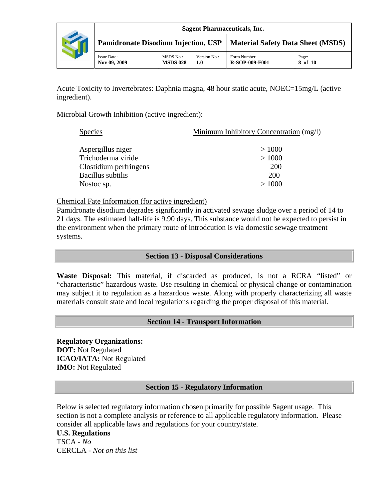

Acute Toxicity to Invertebrates: Daphnia magna, 48 hour static acute, NOEC=15mg/L (active ingredient).

### Microbial Growth Inhibition (active ingredient):

| <b>Species</b>         | Minimum Inhibitory Concentration (mg/l) |
|------------------------|-----------------------------------------|
| Aspergillus niger      | >1000                                   |
| Trichoderma viride     | >1000                                   |
| Clostidium perfringens | <b>200</b>                              |
| Bacillus subtilis      | <b>200</b>                              |
| Nostoc sp.             | >1000                                   |
|                        |                                         |

Chemical Fate Information (for active ingredient)

Pamidronate disodium degrades significantly in activated sewage sludge over a period of 14 to 21 days. The estimated half-life is 9.90 days. This substance would not be expected to persist in the environment when the primary route of introdcution is via domestic sewage treatment systems.

## **Section 13 - Disposal Considerations**

**Waste Disposal:** This material, if discarded as produced, is not a RCRA "listed" or "characteristic" hazardous waste. Use resulting in chemical or physical change or contamination may subject it to regulation as a hazardous waste. Along with properly characterizing all waste materials consult state and local regulations regarding the proper disposal of this material.

## **Section 14 - Transport Information**

**Regulatory Organizations: DOT:** Not Regulated **ICAO/IATA:** Not Regulated **IMO:** Not Regulated

## **Section 15 - Regulatory Information**

Below is selected regulatory information chosen primarily for possible Sagent usage. This section is not a complete analysis or reference to all applicable regulatory information. Please consider all applicable laws and regulations for your country/state.

#### **U.S. Regulations**

TSCA - *No* CERCLA - *Not on this list*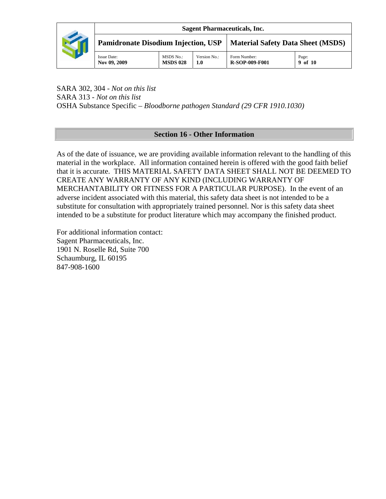

SARA 302, 304 - *Not on this list* SARA 313 - *Not on this list* OSHA Substance Specific – *Bloodborne pathogen Standard (29 CFR 1910.1030)* 

# **Section 16 - Other Information**

As of the date of issuance, we are providing available information relevant to the handling of this material in the workplace. All information contained herein is offered with the good faith belief that it is accurate. THIS MATERIAL SAFETY DATA SHEET SHALL NOT BE DEEMED TO CREATE ANY WARRANTY OF ANY KIND (INCLUDING WARRANTY OF MERCHANTABILITY OR FITNESS FOR A PARTICULAR PURPOSE). In the event of an adverse incident associated with this material, this safety data sheet is not intended to be a substitute for consultation with appropriately trained personnel. Nor is this safety data sheet intended to be a substitute for product literature which may accompany the finished product.

For additional information contact: Sagent Pharmaceuticals, Inc. 1901 N. Roselle Rd, Suite 700 Schaumburg, IL 60195 847-908-1600